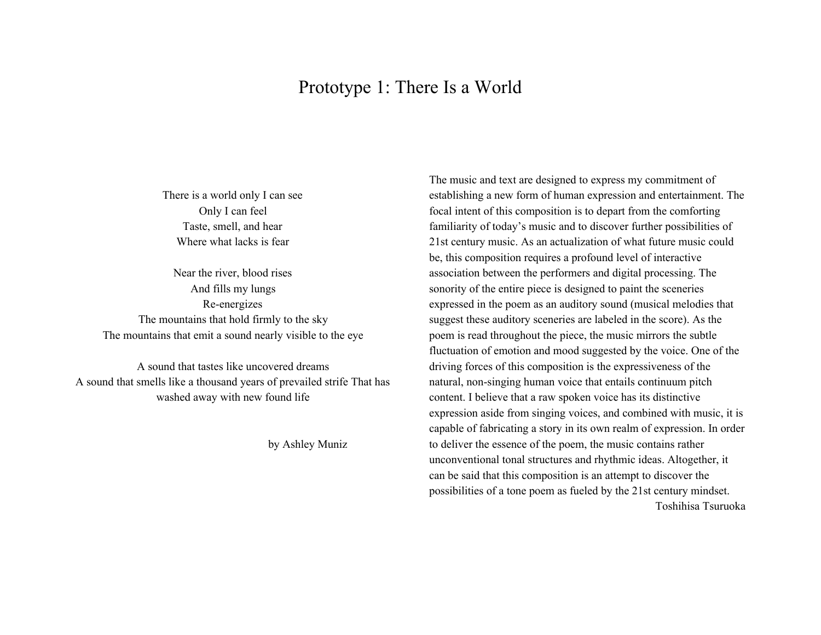# Prototype 1: There Is a World

There is a world only I can see Only I can feel Taste, smell, and hear Where what lacks is fear

Near the river, blood rises And fills my lungs Re-energizes The mountains that hold firmly to the sky The mountains that emit a sound nearly visible to the eye

A sound that tastes like uncovered dreams A sound that smells like a thousand years of prevailed strife That has washed away with new found life

by Ashley Muniz

The music and text are designed to express my commitment of establishing a new form of human expression and entertainment. The focal intent of this composition is to depart from the comforting familiarity of today's music and to discover further possibilities of 21st century music. As an actualization of what future music could be, this composition requires a profound level of interactive association between the performers and digital processing. The sonority of the entire piece is designed to paint the sceneries expressed in the poem as an auditory sound (musical melodies that suggest these auditory sceneries are labeled in the score). As the poem is read throughout the piece, the music mirrors the subtle fluctuation of emotion and mood suggested by the voice. One of the driving forces of this composition is the expressiveness of the natural, non-singing human voice that entails continuum pitch content. I believe that a raw spoken voice has its distinctive expression aside from singing voices, and combined with music, it is capable of fabricating a story in its own realm of expression. In order to deliver the essence of the poem, the music contains rather unconventional tonal structures and rhythmic ideas. Altogether, it can be said that this composition is an attempt to discover the possibilities of a tone poem as fueled by the 21st century mindset. Toshihisa Tsuruoka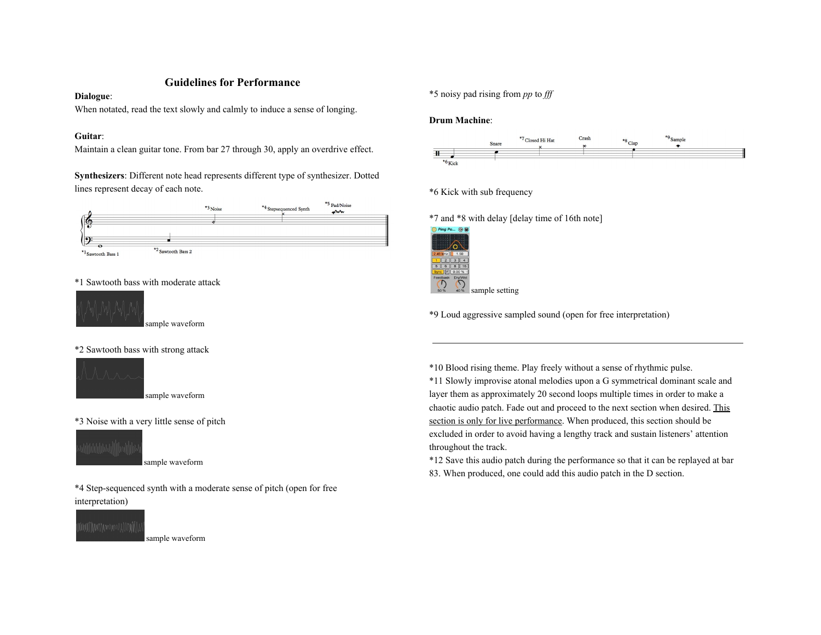## **Guidelines for Performance**

#### **Dialogue**:

When notated, read the text slowly and calmly to induce a sense of longing.

#### **Guitar**:

Maintain a clean guitar tone. From bar 27 through 30, apply an overdrive effect.

**Synthesizers**: Different note head represents different type of synthesizer. Dotted lines represent decay of each note.



#### \*1 Sawtooth bass with moderate attack



sample waveform

### \*2 Sawtooth bass with strong attack



sample waveform

#### \*3 Noise with a very little sense of pitch



sample waveform

\*4 Step-sequenced synth with a moderate sense of pitch (open for free interpretation)



sample waveform

\*5 noisy pad rising from *pp* to *fff*

#### **Drum Machine**:



### \*6 Kick with sub frequency

\*7 and \*8 with delay [delay time of 16th note]



\*9 Loud aggressive sampled sound (open for free interpretation)

\*10 Blood rising theme. Play freely without a sense of rhythmic pulse.

\*11 Slowly improvise atonal melodies upon a G symmetrical dominant scale and layer them as approximately 20 second loops multiple times in order to make a chaotic audio patch. Fade out and proceed to the next section when desired. This section is only for live performance. When produced, this section should be excluded in order to avoid having a lengthy track and sustain listeners' attention throughout the track.

\*12 Save this audio patch during the performance so that it can be replayed at bar 83. When produced, one could add this audio patch in the D section.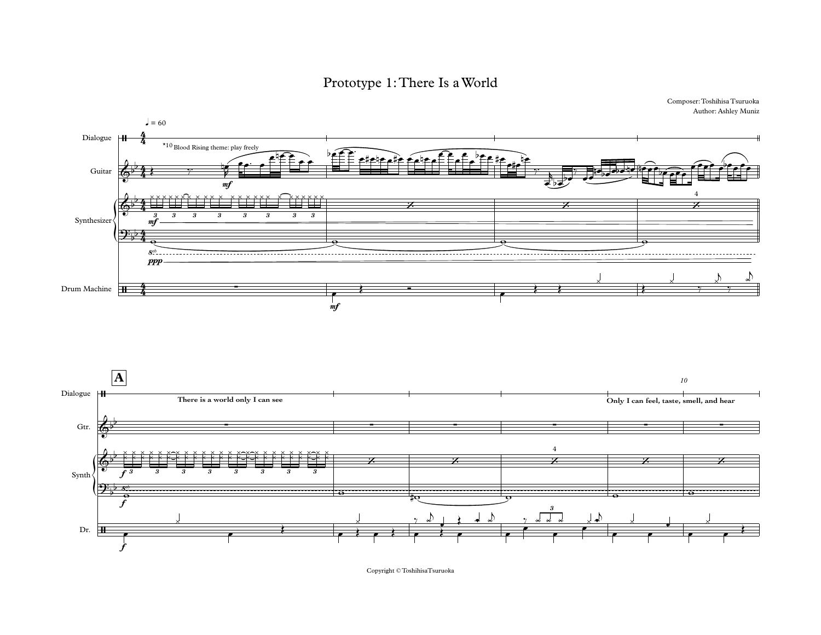Prototype 1: There Is a World





Copyright  $\mathbb O$ Toshihisa<br>Tsuruoka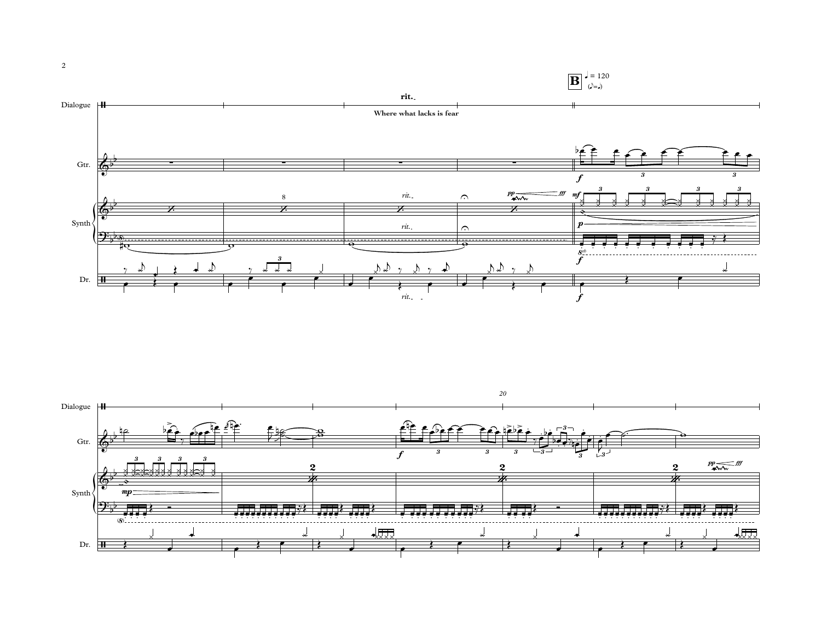

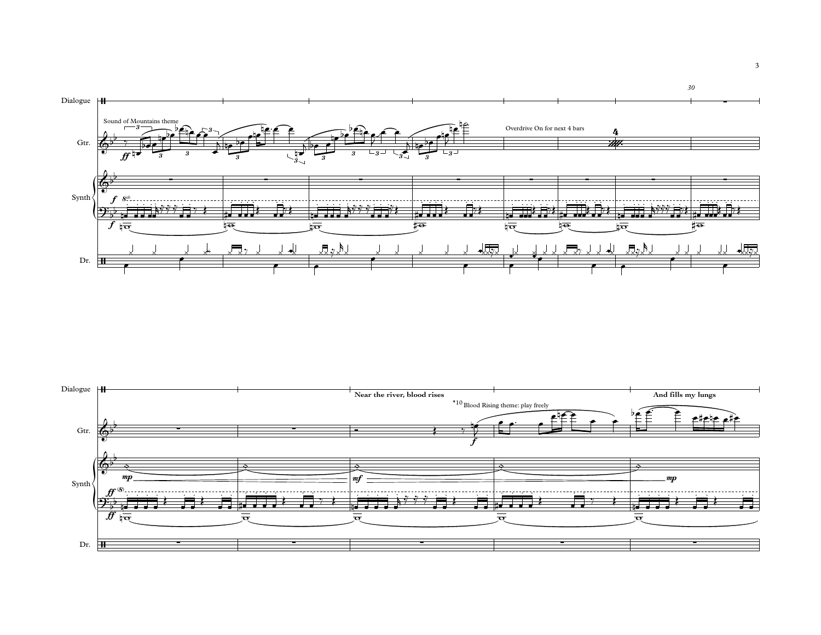

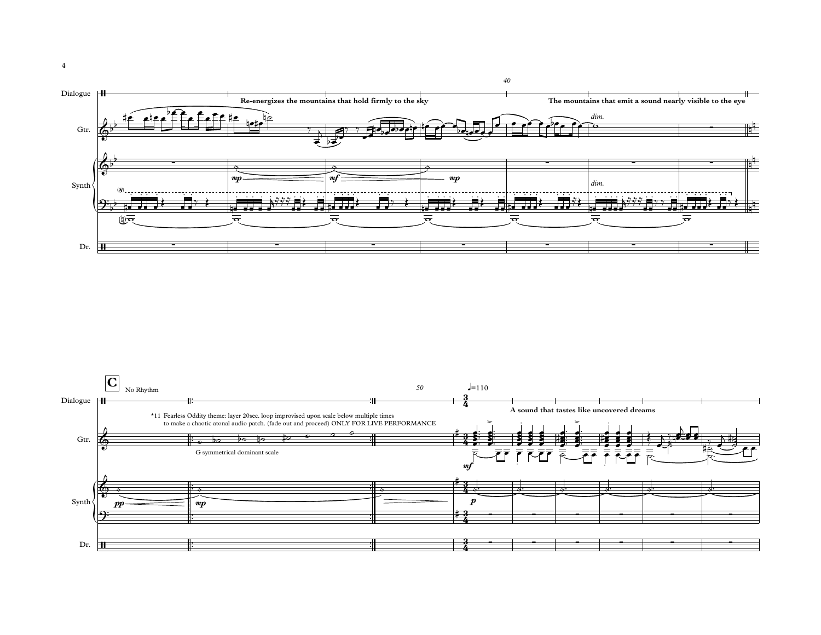

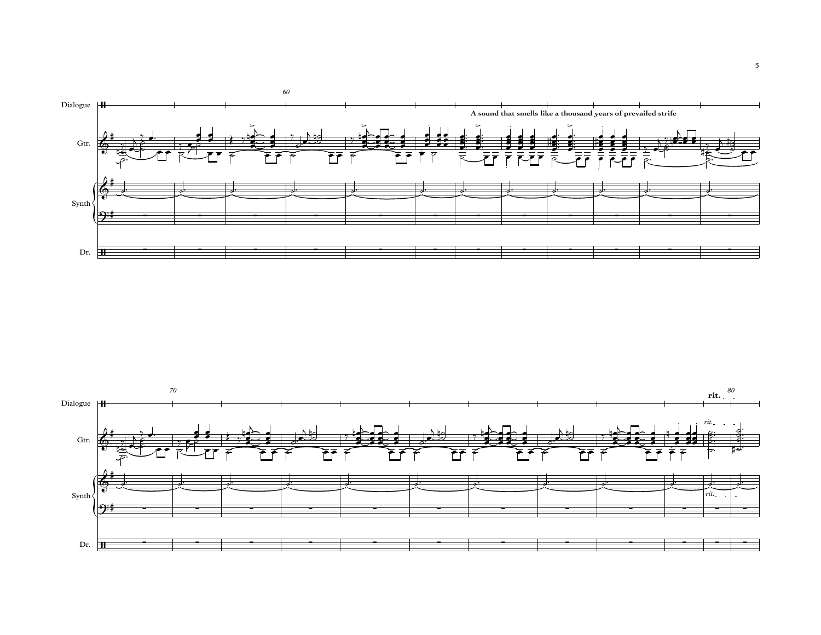

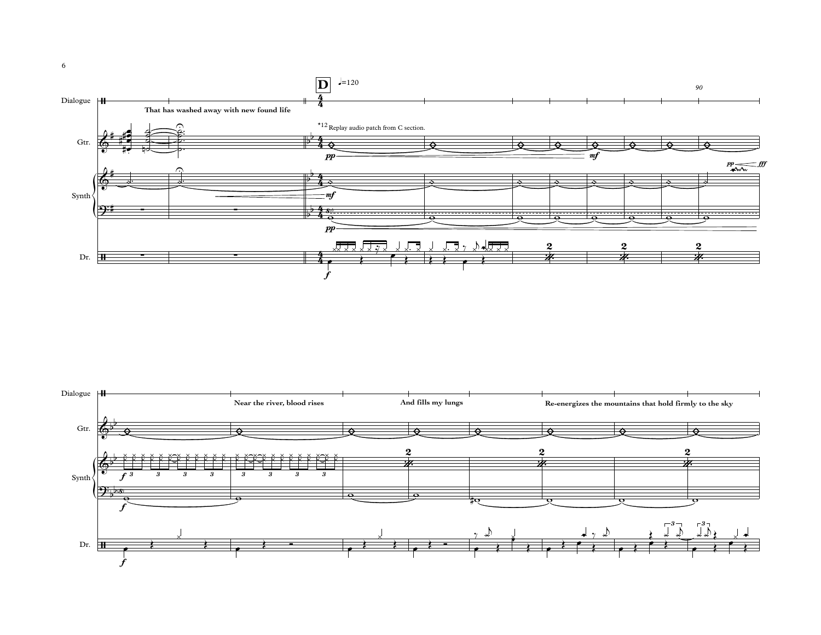